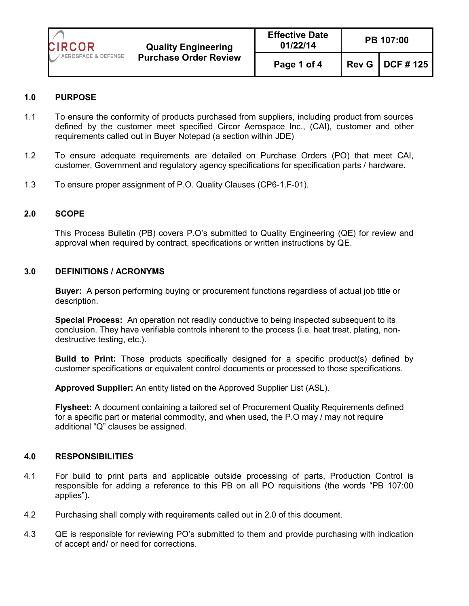

| <b>Effective Date</b><br>01/22/14 | PB 107:00 |                   |  |
|-----------------------------------|-----------|-------------------|--|
| Page 1 of 4                       |           | Rev G   DCF # 125 |  |

## **1.0 PURPOSE**

- 1.1 To ensure the conformity of products purchased from suppliers, including product from sources defined by the customer meet specified Circor Aerospace Inc., (CAI), customer and other requirements called out in Buyer Notepad (a section within JDE)
- 1.2 To ensure adequate requirements are detailed on Purchase Orders (PO) that meet CAI, customer, Government and regulatory agency specifications for specification parts / hardware.
- 1.3 To ensure proper assignment of P.O. Quality Clauses (CP6-1.F-01).

### **2.0 SCOPE**

This Process Bulletin (PB) covers P.O's submitted to Quality Engineering (QE) for review and approval when required by contract, specifications or written instructions by QE.

#### **3.0 DEFINITIONS / ACRONYMS**

**Buyer:** A person performing buying or procurement functions regardless of actual job title or description.

**Special Process:** An operation not readily conductive to being inspected subsequent to its conclusion. They have verifiable controls inherent to the process (i.e. heat treat, plating, nondestructive testing, etc.).

**Build to Print:** Those products specifically designed for a specific product(s) defined by customer specifications or equivalent control documents or processed to those specifications.

**Approved Supplier:** An entity listed on the Approved Supplier List (ASL).

**Flysheet:** A document containing a tailored set of Procurement Quality Requirements defined for a specific part or material commodity, and when used, the P.O may / may not require additional "Q" clauses be assigned.

#### **4.0 RESPONSIBILITIES**

- 4.1 For build to print parts and applicable outside processing of parts, Production Control is responsible for adding a reference to this PB on all PO requisitions (the words "PB 107:00 applies").
- 4.2 Purchasing shall comply with requirements called out in 2.0 of this document.
- 4.3 QE is responsible for reviewing PO's submitted to them and provide purchasing with indication of accept and/ or need for corrections.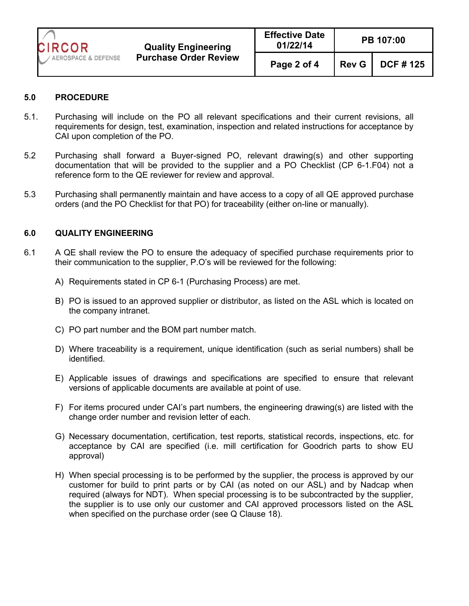

| <b>Effective Date</b><br>01/22/14 | <b>PB 107:00</b> |                          |  |
|-----------------------------------|------------------|--------------------------|--|
| Page 2 of 4                       |                  | <b>Rev G</b>   DCF # 125 |  |

## **5.0 PROCEDURE**

- 5.1. Purchasing will include on the PO all relevant specifications and their current revisions, all requirements for design, test, examination, inspection and related instructions for acceptance by CAI upon completion of the PO.
- 5.2 Purchasing shall forward a Buyer-signed PO, relevant drawing(s) and other supporting documentation that will be provided to the supplier and a PO Checklist (CP 6-1.F04) not a reference form to the QE reviewer for review and approval.
- 5.3 Purchasing shall permanently maintain and have access to a copy of all QE approved purchase orders (and the PO Checklist for that PO) for traceability (either on-line or manually).

### **6.0 QUALITY ENGINEERING**

- 6.1 A QE shall review the PO to ensure the adequacy of specified purchase requirements prior to their communication to the supplier, P.O's will be reviewed for the following:
	- A) Requirements stated in CP 6-1 (Purchasing Process) are met.
	- B) PO is issued to an approved supplier or distributor, as listed on the ASL which is located on the company intranet.
	- C) PO part number and the BOM part number match.
	- D) Where traceability is a requirement, unique identification (such as serial numbers) shall be identified.
	- E) Applicable issues of drawings and specifications are specified to ensure that relevant versions of applicable documents are available at point of use.
	- F) For items procured under CAI's part numbers, the engineering drawing(s) are listed with the change order number and revision letter of each.
	- G) Necessary documentation, certification, test reports, statistical records, inspections, etc. for acceptance by CAI are specified (i.e. mill certification for Goodrich parts to show EU approval)
	- H) When special processing is to be performed by the supplier, the process is approved by our customer for build to print parts or by CAI (as noted on our ASL) and by Nadcap when required (always for NDT). When special processing is to be subcontracted by the supplier, the supplier is to use only our customer and CAI approved processors listed on the ASL when specified on the purchase order (see Q Clause 18).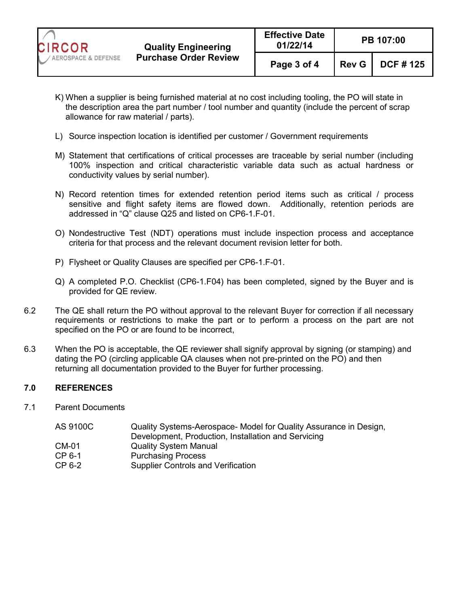

- K) When a supplier is being furnished material at no cost including tooling, the PO will state in the description area the part number / tool number and quantity (include the percent of scrap allowance for raw material / parts).
- L) Source inspection location is identified per customer / Government requirements
- M) Statement that certifications of critical processes are traceable by serial number (including 100% inspection and critical characteristic variable data such as actual hardness or conductivity values by serial number).
- N) Record retention times for extended retention period items such as critical / process sensitive and flight safety items are flowed down. Additionally, retention periods are addressed in "Q" clause Q25 and listed on CP6-1.F-01.
- O) Nondestructive Test (NDT) operations must include inspection process and acceptance criteria for that process and the relevant document revision letter for both.
- P) Flysheet or Quality Clauses are specified per CP6-1.F-01.
- Q) A completed P.O. Checklist (CP6-1.F04) has been completed, signed by the Buyer and is provided for QE review.
- 6.2 The QE shall return the PO without approval to the relevant Buyer for correction if all necessary requirements or restrictions to make the part or to perform a process on the part are not specified on the PO or are found to be incorrect,
- 6.3 When the PO is acceptable, the QE reviewer shall signify approval by signing (or stamping) and dating the PO (circling applicable QA clauses when not pre-printed on the PO) and then returning all documentation provided to the Buyer for further processing.

# **7.0 REFERENCES**

7.1 Parent Documents

| Quality Systems-Aerospace- Model for Quality Assurance in Design, |
|-------------------------------------------------------------------|
| Development, Production, Installation and Servicing               |
| <b>Quality System Manual</b>                                      |
| <b>Purchasing Process</b>                                         |
| <b>Supplier Controls and Verification</b>                         |
|                                                                   |